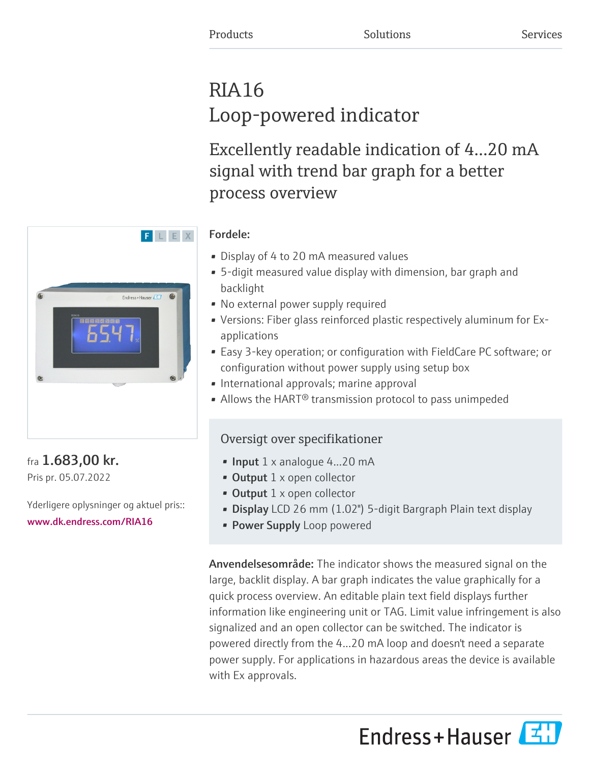# RIA16 Loop-powered indicator

Excellently readable indication of 4…20 mA signal with trend bar graph for a better process overview

## Fordele:

- Display of 4 to 20 mA measured values
- 5-digit measured value display with dimension, bar graph and backlight
- No external power supply required
- Versions: Fiber glass reinforced plastic respectively aluminum for Exapplications
- Easy 3-key operation; or configuration with FieldCare PC software; or configuration without power supply using setup box
- International approvals; marine approval
- Allows the HART<sup>®</sup> transmission protocol to pass unimpeded

# Oversigt over specifikationer

- **Input**  $1 \times$  analogue  $4...20$  mA
- Output 1 x open collector
- Output 1 x open collector
- Display LCD 26 mm (1.02") 5-digit Bargraph Plain text display
- Power Supply Loop powered

Anvendelsesområde: The indicator shows the measured signal on the large, backlit display. A bar graph indicates the value graphically for a quick process overview. An editable plain text field displays further information like engineering unit or TAG. Limit value infringement is also signalized and an open collector can be switched. The indicator is powered directly from the 4...20 mA loop and doesn't need a separate power supply. For applications in hazardous areas the device is available with Ex approvals.

Endress+Hauser



## fra 1.683,00 kr. Pris pr. 05.07.2022

Yderligere oplysninger og aktuel pris:: [www.dk.endress.com/RIA16](https://www.dk.endress.com/RIA16)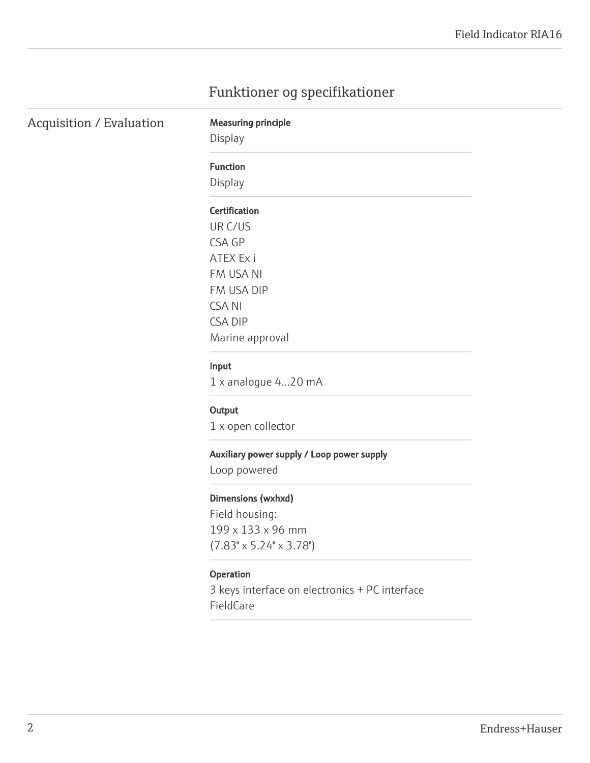# Funktioner og specifikationer

| Acquisition / Evaluation |  |
|--------------------------|--|
|--------------------------|--|

# Display

**Measuring principle** 

#### Function

Display

#### Certification

UR C/US CSA GP ATEX Ex i FM USA NI FM USA DIP CSA NI CSA DIP Marine approval

#### Input

1 x analogue 4...20 mA

#### **Output**

1 x open collector

#### Auxiliary power supply / Loop power supply

Loop powered

#### Dimensions (wxhxd)

Field housing: 199 x 133 x 96 mm (7.83" x 5.24" x 3.78")

#### Operation

3 keys interface on electronics + PC interface FieldCare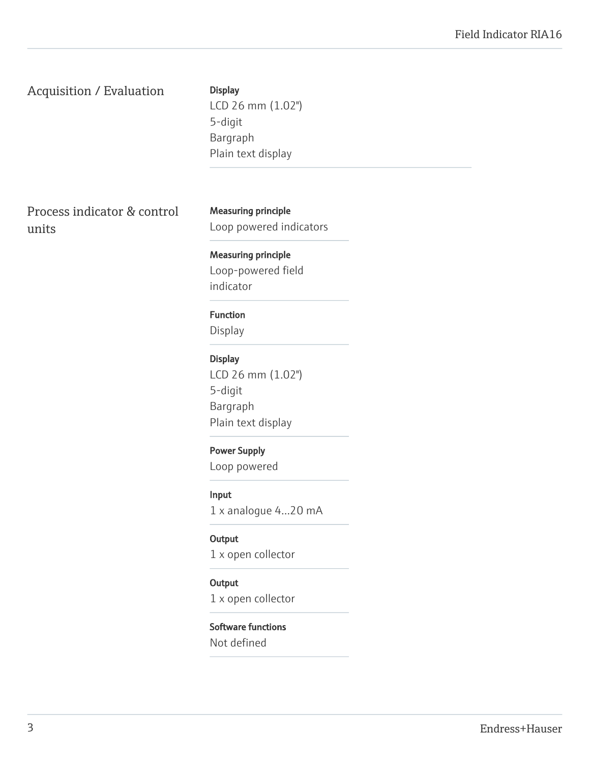### Acquisition / Evaluation

**Display** 

LCD 26 mm (1.02") 5-digit Bargraph Plain text display

Process indicator & control units

Measuring principle Loop powered indicators

Measuring principle Loop-powered field indicator

#### Function

Display

Display LCD 26 mm (1.02") 5-digit Bargraph Plain text display

# Power Supply

Loop powered

Input

1 x analogue 4...20 mA

**Output** 

1 x open collector

#### **Output**

1 x open collector

#### Software functions

Not defined